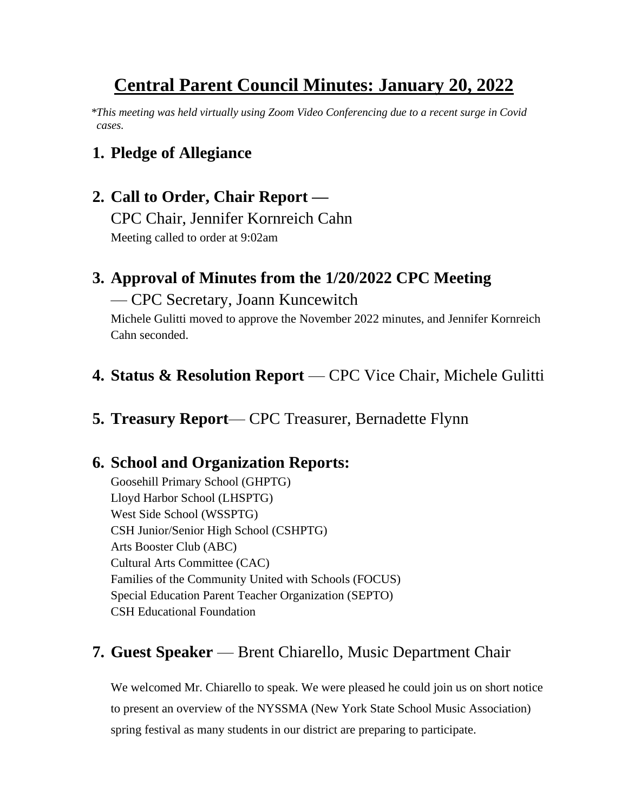# **Central Parent Council Minutes: January 20, 2022**

 *\*This meeting was held virtually using Zoom Video Conferencing due to a recent surge in Covid cases.*

### **1. Pledge of Allegiance**

# **2. Call to Order, Chair Report —**

CPC Chair, Jennifer Kornreich Cahn Meeting called to order at 9:02am

## **3. Approval of Minutes from the 1/20/2022 CPC Meeting**

#### — CPC Secretary, Joann Kuncewitch

Michele Gulitti moved to approve the November 2022 minutes, and Jennifer Kornreich Cahn seconded.

### **4. Status & Resolution Report** — CPC Vice Chair, Michele Gulitti

**5. Treasury Report**— CPC Treasurer, Bernadette Flynn

### **6. School and Organization Reports:**

Goosehill Primary School (GHPTG) Lloyd Harbor School (LHSPTG) West Side School (WSSPTG) CSH Junior/Senior High School (CSHPTG) Arts Booster Club (ABC) Cultural Arts Committee (CAC) Families of the Community United with Schools (FOCUS) Special Education Parent Teacher Organization (SEPTO) CSH Educational Foundation

### **7. Guest Speaker** — Brent Chiarello, Music Department Chair

We welcomed Mr. Chiarello to speak. We were pleased he could join us on short notice to present an overview of the NYSSMA (New York State School Music Association) spring festival as many students in our district are preparing to participate.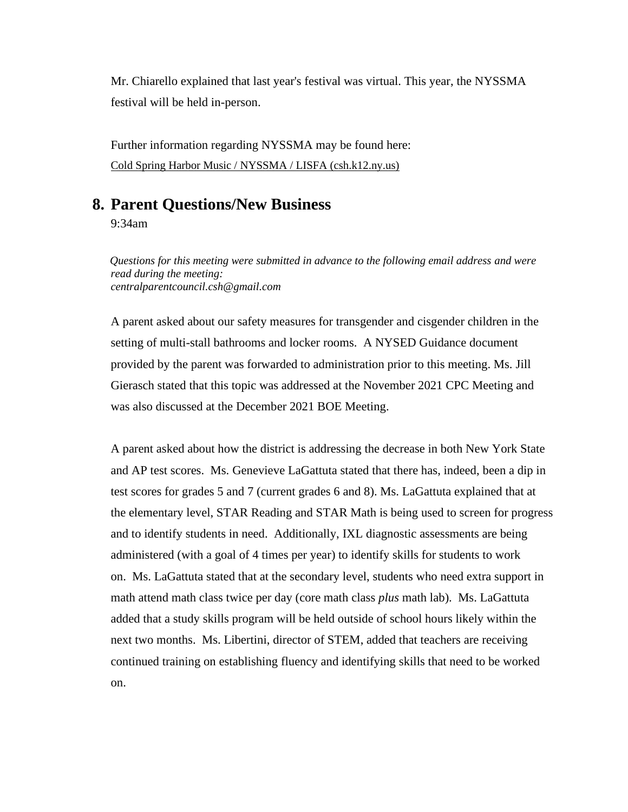Mr. Chiarello explained that last year's festival was virtual. This year, the NYSSMA festival will be held in-person.

Further information regarding NYSSMA may be found here: [Cold Spring Harbor Music / NYSSMA / LISFA \(csh.k12.ny.us\)](https://www.csh.k12.ny.us/Page/661)

#### **8. Parent Questions/New Business**

9:34am

 *Questions for this meeting were submitted in advance to the following email address and were read during the meeting: centralparentcouncil.csh@gmail.com*

A parent asked about our safety measures for transgender and cisgender children in the setting of multi-stall bathrooms and locker rooms. A NYSED Guidance document provided by the parent was forwarded to administration prior to this meeting. Ms. Jill Gierasch stated that this topic was addressed at the November 2021 CPC Meeting and was also discussed at the December 2021 BOE Meeting.

A parent asked about how the district is addressing the decrease in both New York State and AP test scores. Ms. Genevieve LaGattuta stated that there has, indeed, been a dip in test scores for grades 5 and 7 (current grades 6 and 8). Ms. LaGattuta explained that at the elementary level, STAR Reading and STAR Math is being used to screen for progress and to identify students in need. Additionally, IXL diagnostic assessments are being administered (with a goal of 4 times per year) to identify skills for students to work on. Ms. LaGattuta stated that at the secondary level, students who need extra support in math attend math class twice per day (core math class *plus* math lab). Ms. LaGattuta added that a study skills program will be held outside of school hours likely within the next two months. Ms. Libertini, director of STEM, added that teachers are receiving continued training on establishing fluency and identifying skills that need to be worked on.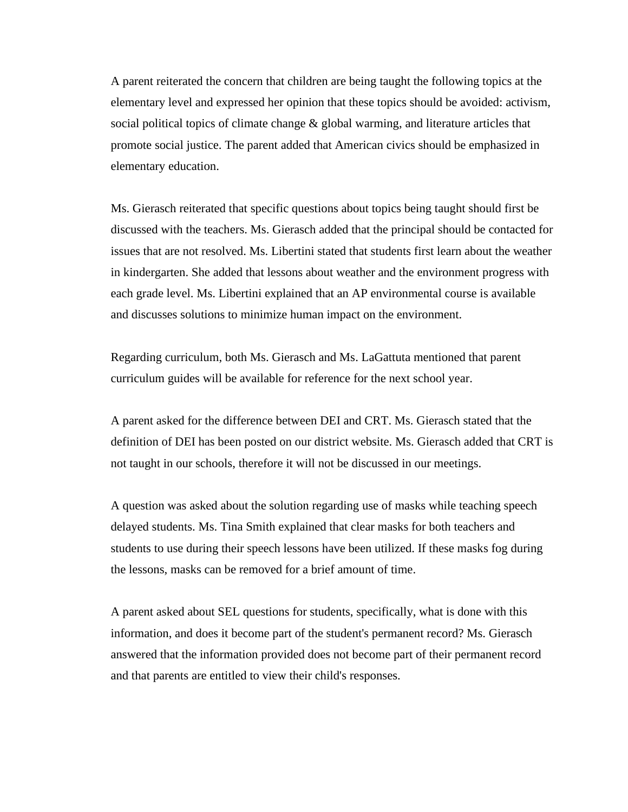A parent reiterated the concern that children are being taught the following topics at the elementary level and expressed her opinion that these topics should be avoided: activism, social political topics of climate change & global warming, and literature articles that promote social justice. The parent added that American civics should be emphasized in elementary education.

Ms. Gierasch reiterated that specific questions about topics being taught should first be discussed with the teachers. Ms. Gierasch added that the principal should be contacted for issues that are not resolved. Ms. Libertini stated that students first learn about the weather in kindergarten. She added that lessons about weather and the environment progress with each grade level. Ms. Libertini explained that an AP environmental course is available and discusses solutions to minimize human impact on the environment.

Regarding curriculum, both Ms. Gierasch and Ms. LaGattuta mentioned that parent curriculum guides will be available for reference for the next school year.

A parent asked for the difference between DEI and CRT. Ms. Gierasch stated that the definition of DEI has been posted on our district website. Ms. Gierasch added that CRT is not taught in our schools, therefore it will not be discussed in our meetings.

A question was asked about the solution regarding use of masks while teaching speech delayed students. Ms. Tina Smith explained that clear masks for both teachers and students to use during their speech lessons have been utilized. If these masks fog during the lessons, masks can be removed for a brief amount of time.

A parent asked about SEL questions for students, specifically, what is done with this information, and does it become part of the student's permanent record? Ms. Gierasch answered that the information provided does not become part of their permanent record and that parents are entitled to view their child's responses.